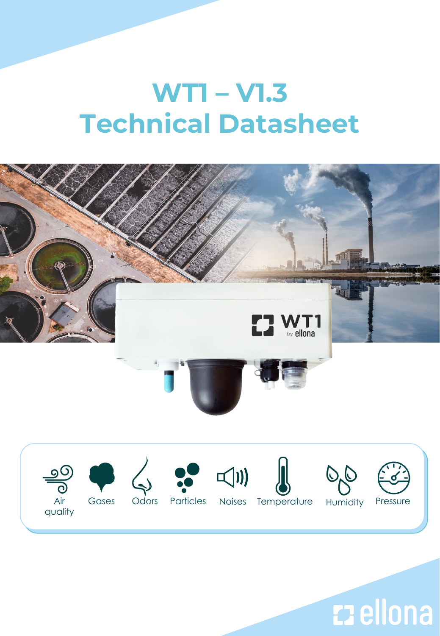# **WT1 – V1.3 Technical Datasheet**



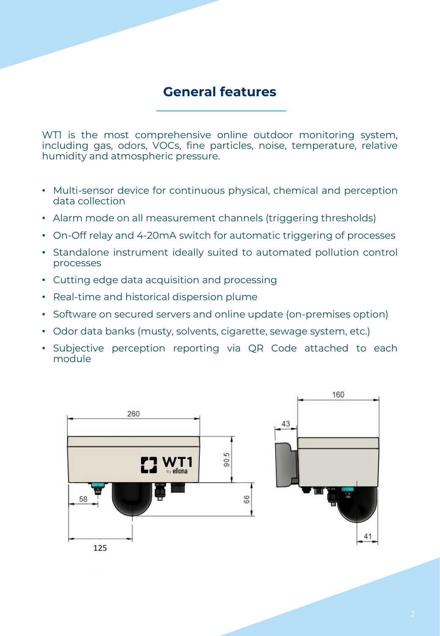#### **General features**

WTI is the most comprehensive online outdoor monitoring system, including gas, odors, VOCs, fine particles, noise, temperature, relative humidity and atmospheric pressure.

- Multi-sensor device for continuous physical, chemical and perception data collection
- Alarm mode on all measurement channels (triggering thresholds)
- On-Off relay and 4-20mA switch for automatic triggering of processes
- Standalone instrument ideally suited to automated pollution control processes
- Cutting edge data acquisition and processing
- Real-time and historical dispersion plume
- Software on secured servers and online update (on-premises option)
- Odor data banks (musty, solvents, cigarette, sewage system, etc.)
- Subjective perception reporting via QR Code attached to each module

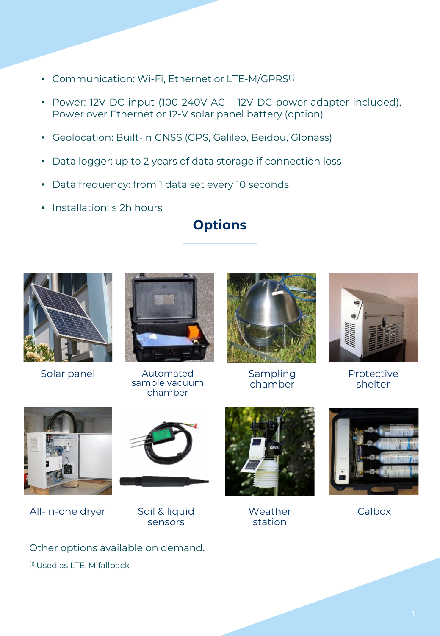- Communication: Wi-Fi, Ethernet or LTE-M/GPRS<sup>(1)</sup>
- Power: 12V DC input (100-240V AC 12V DC power adapter included), Power over Ethernet or 12-V solar panel battery (option)
- Geolocation: Built-in GNSS (GPS, Galileo, Beidou, Glonass)
- Data logger: up to 2 years of data storage if connection loss
- Data frequency: from 1 data set every 10 seconds
- Installation: ≤ 2h hours

# **Options**



Solar panel



Automated sample vacuum chamber



Sampling chamber



Protective shelter



All-in-one dryer



Soil & liquid sensors



**Weather** station



Calbox

Other options available on demand. (1) Used as LTE-M fallback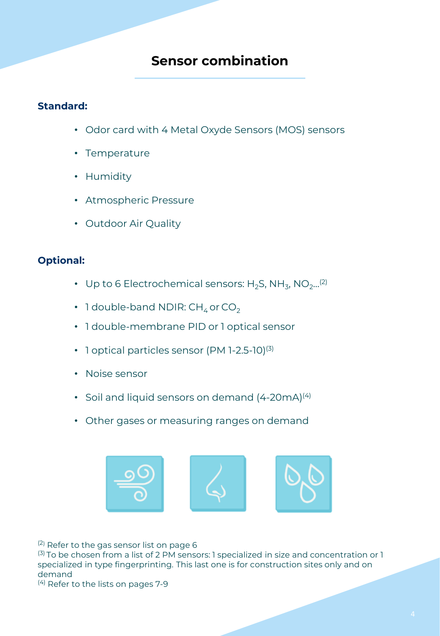#### **Sensor combination**

#### **Standard:**

- Odor card with 4 Metal Oxyde Sensors (MOS) sensors
- Temperature
- Humidity
- Atmospheric Pressure
- Outdoor Air Quality

#### **Optional:**

- Up to 6 Electrochemical sensors: H<sub>2</sub>S, NH<sub>3</sub>, NO<sub>2</sub>...<sup>(2)</sup>
- 1 double-band NDIR:  $CH_4$  or  $CO_2$
- 1 double-membrane PID or 1 optical sensor
- 1 optical particles sensor (PM 1-2.5-10)<sup>(3)</sup>
- Noise sensor
- Soil and liquid sensors on demand  $(4-20mA)^{(4)}$
- Other gases or measuring ranges on demand



<sup>(2)</sup> Refer to the gas sensor list on page 6

(3) To be chosen from a list of 2 PM sensors: 1 specialized in size and concentration or 1 specialized in type fingerprinting. This last one is for construction sites only and on demand

<sup>(4)</sup> Refer to the lists on pages 7-9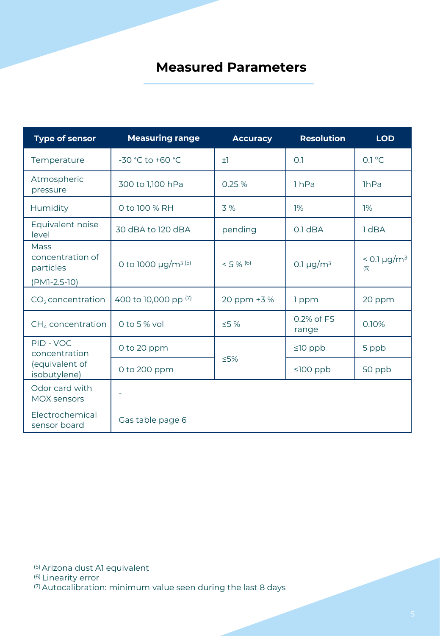#### **Measured Parameters**

| <b>Type of sensor</b>                                          | <b>Measuring range</b>               | <b>Accuracy</b> | <b>Resolution</b>          | <b>LOD</b>               |
|----------------------------------------------------------------|--------------------------------------|-----------------|----------------------------|--------------------------|
| Temperature                                                    | -30 °C to +60 °C                     | $\pm 1$         | 0.1                        | $0.1^{\circ}$ C          |
| Atmospheric<br>pressure                                        | 300 to 1,100 hPa                     | 0.25%           | 1 <sub>hPa</sub>           | <b>lhPa</b>              |
| Humidity                                                       | 0 to 100 % RH                        | 3 %             | 1%                         | 1%                       |
| Equivalent noise<br>level                                      | 30 dBA to 120 dBA                    | pending         | $0.1$ dBA                  | 1 dBA                    |
| <b>Mass</b><br>concentration of<br>particles<br>$(PM1-2.5-10)$ | 0 to 1000 $\mu$ g/m <sup>3 (5)</sup> | $< 5 \%$ (6)    | 0.1 $\mu$ g/m <sup>3</sup> | $< 0.1 \mu g/m^3$<br>(5) |
| CO <sub>2</sub> concentration                                  | 400 to 10,000 pp (7)                 | 20 ppm +3 %     | 1 ppm                      | 20 ppm                   |
| $CH4$ concentration                                            | 0 to 5 $%$ vol                       | $\leq$ 5 %      | 0.2% of FS<br>range        | 0.10%                    |
| PID - VOC<br>concentration                                     | 0 to 20 ppm                          |                 | $\leq 10$ ppb              | 5 ppb                    |
| (equivalent of<br>isobutylene)                                 | 0 to 200 ppm                         | $≤5%$           | $≤100$ ppb                 | 50 ppb                   |
| Odor card with<br><b>MOX sensors</b>                           | ä,                                   |                 |                            |                          |
| Electrochemical<br>sensor board                                | Gas table page 6                     |                 |                            |                          |

(5) Arizona dust A1 equivalent (6) Linearity error (7) Autocalibration: minimum value seen during the last 8 days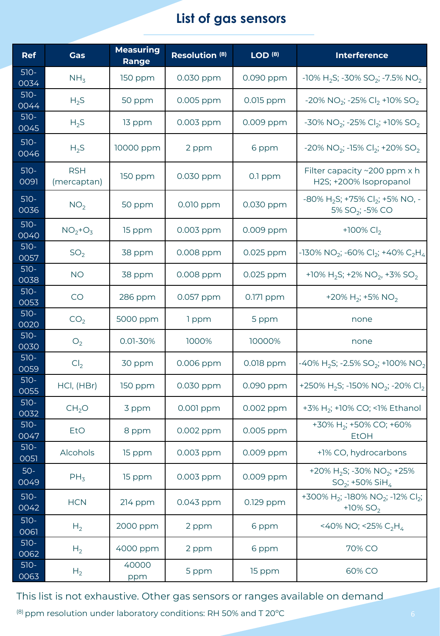### **List of gas sensors**

| <b>Ref</b>     | <b>Gas</b>                | <b>Measuring</b><br>Range | Resolution <sup>(8)</sup> | LOD <sup>(8)</sup> | Interference                                                                              |  |
|----------------|---------------------------|---------------------------|---------------------------|--------------------|-------------------------------------------------------------------------------------------|--|
| $510-$<br>0034 | NH <sub>3</sub>           | 150 ppm                   | 0.030 ppm                 | 0.090 ppm          | $-10\%$ H <sub>2</sub> S; $-30\%$ SO <sub>2</sub> ; $-7.5\%$ NO <sub>2</sub>              |  |
| $510-$<br>0044 | $H_2S$                    | 50 ppm                    | 0.005 ppm                 | 0.015 ppm          | $-20\%$ NO <sub>2</sub> ; $-25\%$ Cl <sub>2</sub> +10% SO <sub>2</sub>                    |  |
| $510-$<br>0045 | $H_2S$                    | 13 ppm                    | 0.003 ppm                 | 0.009 ppm          | -30% NO <sub>2</sub> ; -25% Cl <sub>2</sub> ; +10% SO <sub>2</sub>                        |  |
| $510-$<br>0046 | $H_2S$                    | 10000 ppm                 | 2 ppm                     | 6 ppm              | $-20\%$ NO <sub>2</sub> ; $-15\%$ Cl <sub>2</sub> ; $+20\%$ SO <sub>2</sub>               |  |
| $510-$<br>0091 | <b>RSH</b><br>(mercaptan) | 150 ppm                   | 0.030 ppm                 | 0.1 ppm            | Filter capacity ~200 ppm x h<br>H2S; +200% Isopropanol                                    |  |
| $510-$<br>0036 | NO <sub>2</sub>           | 50 ppm                    | 0.010 ppm                 | 0.030 ppm          | $-80\%$ H <sub>2</sub> S; +75% Cl <sub>2</sub> ; +5% NO, -<br>5% SO <sub>2</sub> ; -5% CO |  |
| $510-$<br>0040 | $NO2+O3$                  | 15 ppm                    | 0.003 ppm                 | 0.009 ppm          | +100% $Cl_2$                                                                              |  |
| $510-$<br>0057 | SO <sub>2</sub>           | 38 ppm                    | 0.008 ppm                 | 0.025 ppm          | -130% NO <sub>2</sub> ; -60% Cl <sub>2</sub> ; +40% C <sub>2</sub> H <sub>4</sub>         |  |
| $510-$<br>0038 | <b>NO</b>                 | 38 ppm                    | 0.008 ppm                 | 0.025 ppm          | +10% H <sub>2</sub> S; +2% NO <sub>2</sub> , +3% SO <sub>2</sub>                          |  |
| $510-$<br>0053 | CO                        | 286 ppm                   | 0.057 ppm                 | 0.171 ppm          | +20% H <sub>2</sub> ; +5% NO <sub>2</sub>                                                 |  |
| $510-$<br>0020 | CO <sub>2</sub>           | 5000 ppm                  | 1 ppm                     | 5 ppm              | none                                                                                      |  |
| $510-$<br>0030 | O <sub>2</sub>            | 0.01-30%                  | 1000%                     | 10000%             | none                                                                                      |  |
| $510-$<br>0059 | Cl <sub>2</sub>           | 30 ppm                    | 0.006 ppm                 | 0.018 ppm          | -40% H <sub>2</sub> S; -2.5% SO <sub>2</sub> ; +100% NO <sub>2</sub>                      |  |
| $510-$<br>0055 | HCl, (HBr)                | 150 ppm                   | 0.030 ppm                 | 0.090 ppm          | +250% H <sub>2</sub> S; -150% NO <sub>2</sub> ; -20% Cl <sub>2</sub>                      |  |
| $510-$<br>0032 | CH <sub>2</sub> O         | 3 ppm                     | 0.001 ppm                 | 0.002 ppm          | +3% H <sub>2</sub> ; +10% CO; <1% Ethanol                                                 |  |
| $510-$<br>0047 | EtO                       | 8 ppm                     | 0.002 ppm                 | 0.005 ppm          | +30% H <sub>2</sub> ; +50% CO; +60%<br><b>EtOH</b>                                        |  |
| $510-$<br>0051 | Alcohols                  | 15 ppm                    | 0.003 ppm                 | 0.009 ppm          | +1% CO, hydrocarbons                                                                      |  |
| $50-$<br>0049  | $PH_3$                    | 15 ppm                    | 0.003 ppm                 | 0.009 ppm          | +20% H <sub>2</sub> S; -30% NO <sub>2</sub> ; +25%<br>$SO_2$ ; +50% SiH <sub>4</sub>      |  |
| $510-$<br>0042 | <b>HCN</b>                | $214$ ppm                 | 0.043 ppm                 | 0.129 ppm          | +300% H <sub>2</sub> ; -180% NO <sub>2</sub> ; -12% Cl <sub>2</sub> ;<br>+10% $SO2$       |  |
| $510-$<br>0061 | H <sub>2</sub>            | 2000 ppm                  | 2 ppm                     | 6 ppm              | <40% NO; <25% $C_2H_4$                                                                    |  |
| $510-$<br>0062 | H <sub>2</sub>            | 4000 ppm                  | 2 ppm                     | 6 ppm              | 70% CO                                                                                    |  |
| $510-$<br>0063 | H <sub>2</sub>            | 40000<br>ppm              | 5 ppm                     | 15 ppm             | 60% CO                                                                                    |  |

This list is not exhaustive. Other gas sensors or ranges available on demand

(8) ppm resolution under laboratory conditions: RH 50% and T 20ºC 6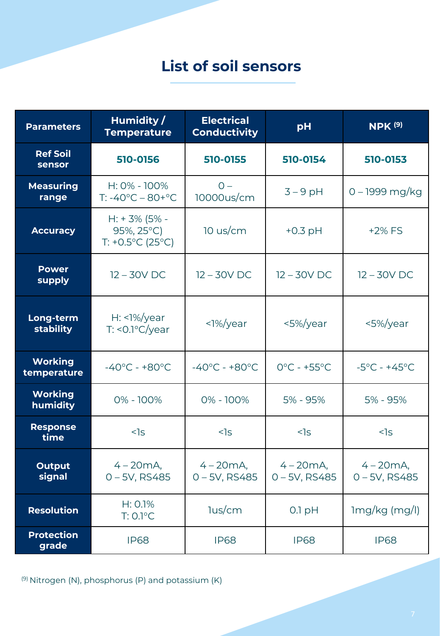# **List of soil sensors**

| <b>Parameters</b>             | Humidity/<br><b>Temperature</b>                                   | <b>Electrical</b><br><b>Conductivity</b> | pH                               | <b>NPK (9)</b>                  |
|-------------------------------|-------------------------------------------------------------------|------------------------------------------|----------------------------------|---------------------------------|
| <b>Ref Soil</b><br>sensor     | 510-0156                                                          | 510-0155                                 | 510-0154                         | 510-0153                        |
| <b>Measuring</b><br>range     | H: 0% - 100%<br>$T: -40^{\circ}C - 80 + ^{\circ}C$                | $0 -$<br>10000us/cm                      | $3 - 9$ pH                       | 0 - 1999 mg/kg                  |
| <b>Accuracy</b>               | $H: +3\% (5\% -$<br>95%, 25°C)<br>$T: +0.5^{\circ}C(25^{\circ}C)$ | $10$ us/cm                               | $+0.3$ pH                        | +2% FS                          |
| <b>Power</b><br>supply        | $12 - 30V$ DC                                                     | $12 - 30V$ DC                            | $12 - 30V$ DC                    | $12 - 30V$ DC                   |
| Long-term<br>stability        | $H: \langle \frac{1}{6} \rangle$ year<br>$T: < 0.1$ °C/year       | $<$ 1%/year                              | <5%/year                         | <5%/year                        |
| <b>Working</b><br>temperature | $-40^{\circ}$ C - +80 $^{\circ}$ C                                | $-40^{\circ}$ C - +80 $^{\circ}$ C       | $0^{\circ}$ C - +55 $^{\circ}$ C | $-5^{\circ}$ C - +45°C          |
| <b>Working</b><br>humidity    | 0% - 100%                                                         | 0% - 100%                                | 5% - 95%                         | 5% - 95%                        |
| <b>Response</b><br>time       | $<$ ]s                                                            | $<$ ]s                                   | $<$ ]s                           | $<$ ]s                          |
| <b>Output</b><br>signal       | $4 - 20mA,$<br>$0 - 5V$ , RS485                                   | $4 - 20mA,$<br>$0 - 5V$ , RS485          | $4 - 20mA,$<br>$0 - 5V$ , RS485  | $4 - 20mA,$<br>$0 - 5V$ , RS485 |
| <b>Resolution</b>             | H: 0.1%<br>$T: 0.1$ °C                                            | lus/cm                                   | $0.1$ pH                         | $lmg/kg$ (mg/l)                 |
| <b>Protection</b><br>grade    | <b>IP68</b>                                                       | <b>IP68</b>                              | <b>IP68</b>                      | <b>IP68</b>                     |

(9) Nitrogen (N), phosphorus (P) and potassium (K)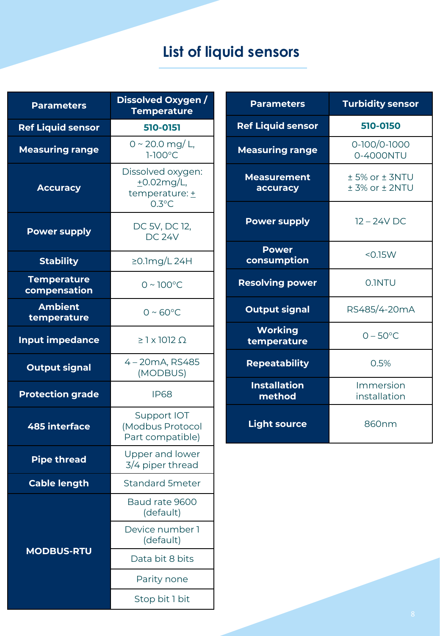# **List of liquid sensors**

| <b>Parameters</b>                  | Dissolved Oxygen /<br><b>Temperature</b>                         |  |  |
|------------------------------------|------------------------------------------------------------------|--|--|
| <b>Ref Liquid sensor</b>           | 510-0151                                                         |  |  |
| <b>Measuring range</b>             | 0 ~ 20.0 mg/ L,<br>$1-100^{\circ}$ C                             |  |  |
| <b>Accuracy</b>                    | Dissolved oxygen:<br>$+0.02$ mg/L,<br>temperature: +<br>$0.3$ °C |  |  |
| <b>Power supply</b>                | DC 5V, DC 12,<br><b>DC 24V</b>                                   |  |  |
| <b>Stability</b>                   | ≥0.1mg/L 24H                                                     |  |  |
| <b>Temperature</b><br>compensation | $0 \sim 100^{\circ}$ C                                           |  |  |
| <b>Ambient</b><br>temperature      | $0 \sim 60^{\circ}$ C                                            |  |  |
| <b>Input impedance</b>             | $\geq$ 1 x 1012 $\Omega$                                         |  |  |
| <b>Output signal</b>               | 4 - 20mA, RS485<br>(MODBUS)                                      |  |  |
| <b>Protection grade</b>            | <b>IP68</b>                                                      |  |  |
| <b>485 interface</b>               | Support IOT<br>(Modbus Protocol<br>Part compatible)              |  |  |
| <b>Pipe thread</b>                 | Upper and lower<br>3/4 piper thread                              |  |  |
| <b>Cable length</b>                | <b>Standard 5meter</b>                                           |  |  |
|                                    | Baud rate 9600<br>(default)                                      |  |  |
|                                    | Device number 1<br>(default)                                     |  |  |
| <b>MODBUS-RTU</b>                  | Data bit 8 bits                                                  |  |  |
|                                    | Parity none                                                      |  |  |
|                                    | Stop bit 1 bit                                                   |  |  |

| <b>Parameters</b>              | <b>Turbidity sensor</b>                   |  |
|--------------------------------|-------------------------------------------|--|
| <b>Ref Liquid sensor</b>       | 510-0150                                  |  |
| <b>Measuring range</b>         | 0-100/0-1000<br>0-4000NTU                 |  |
| <b>Measurement</b><br>accuracy | $±$ 5% or $±$ 3NTU<br>$± 3\%$ or $± 2NTU$ |  |
| <b>Power supply</b>            | $12 - 24V$ DC                             |  |
| <b>Power</b><br>consumption    | $<$ 0.15 W                                |  |
| <b>Resolving power</b>         | 0.1NTU                                    |  |
| <b>Output signal</b>           | RS485/4-20mA                              |  |
| <b>Working</b><br>temperature  | $0 - 50^{\circ}$ C                        |  |
| <b>Repeatability</b>           | 0.5%                                      |  |
| <b>Installation</b><br>method  | Immersion<br>installation                 |  |
| <b>Light source</b>            | 860nm                                     |  |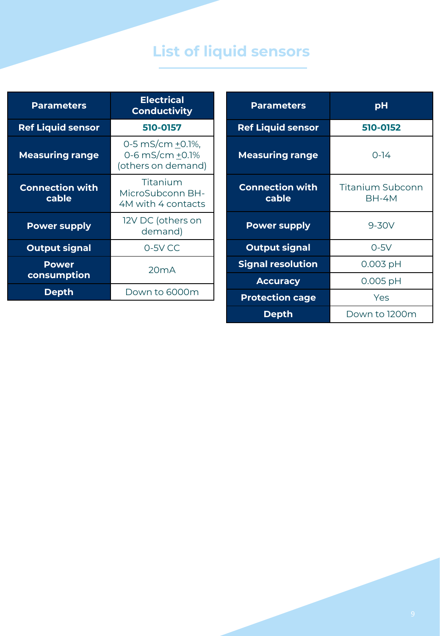# **List of liquid sensors**

| <b>Parameters</b>               | <b>Electrical</b><br><b>Conductivity</b>                  |  |  |
|---------------------------------|-----------------------------------------------------------|--|--|
| <b>Ref Liquid sensor</b>        | 510-0157                                                  |  |  |
| <b>Measuring range</b>          | 0-5 mS/cm +0.1%,<br>0-6 mS/cm +0.1%<br>(others on demand) |  |  |
| <b>Connection with</b><br>cable | Titanium<br>MicroSubconn BH-<br>4M with 4 contacts        |  |  |
| <b>Power supply</b>             | 12V DC (others on<br>demand)                              |  |  |
| <b>Output signal</b>            | $0-5V$ CC                                                 |  |  |
| <b>Power</b><br>consumption     | 20mA                                                      |  |  |
| <b>Depth</b>                    | Down to 6000m                                             |  |  |

| <b>Parameters</b>               | рH                                      |  |
|---------------------------------|-----------------------------------------|--|
| <b>Ref Liquid sensor</b>        | 510-0152                                |  |
| <b>Measuring range</b>          | $0 - 14$                                |  |
| <b>Connection with</b><br>cable | <b>Titanium Subconn</b><br><b>BH-4M</b> |  |
| <b>Power supply</b>             | 9-30V                                   |  |
| <b>Output signal</b>            | $0-5V$                                  |  |
| <b>Signal resolution</b>        | $0.003$ pH                              |  |
| <b>Accuracy</b>                 | 0.005 pH                                |  |
| <b>Protection cage</b>          | Yes                                     |  |
| Depth                           | Down to 1200m                           |  |